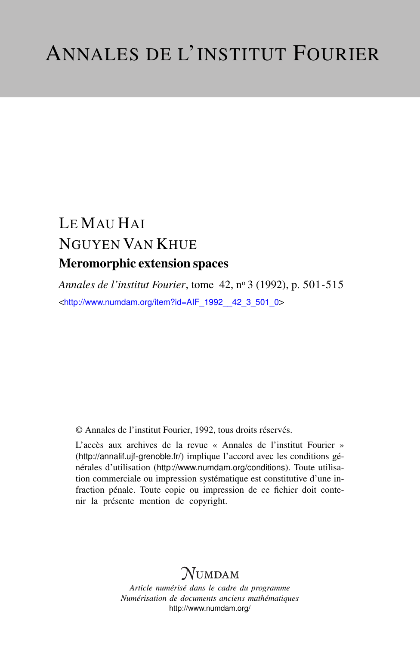# LE MAU HAI NGUYEN VAN KHUE Meromorphic extension spaces

*Annales de l'institut Fourier*, tome 42, n<sup>o</sup> 3 (1992), p. 501-515 <[http://www.numdam.org/item?id=AIF\\_1992\\_\\_42\\_3\\_501\\_0](http://www.numdam.org/item?id=AIF_1992__42_3_501_0)>

© Annales de l'institut Fourier, 1992, tous droits réservés.

L'accès aux archives de la revue « Annales de l'institut Fourier » (<http://annalif.ujf-grenoble.fr/>) implique l'accord avec les conditions générales d'utilisation (<http://www.numdam.org/conditions>). Toute utilisation commerciale ou impression systématique est constitutive d'une infraction pénale. Toute copie ou impression de ce fichier doit contenir la présente mention de copyright.

# NUMDAM

*Article numérisé dans le cadre du programme Numérisation de documents anciens mathématiques* <http://www.numdam.org/>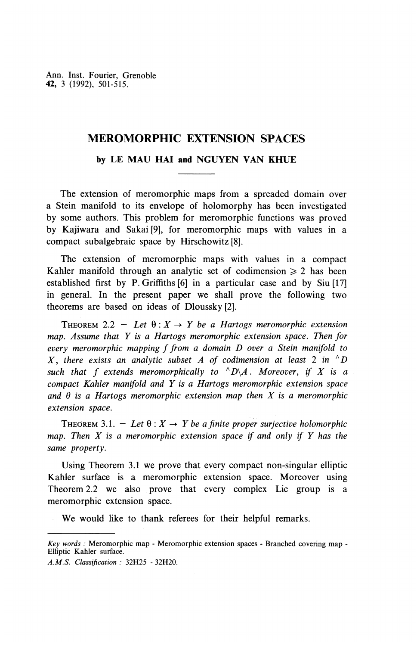Ann. Inst. Fourier, Grenoble **42,** 3 (1992), 501-515.

# **MEROMORPHIC EXTENSION SPACES**

### **by LE MAU HAI and NGUYEN VAN KHUE**

The extension of meromorphic maps from a spreaded domain over a Stein manifold to its envelope of holomorphy has been investigated by some authors. This problem for meromorphic functions was proved by Kajiwara and Sakai [9], for meromorphic maps with values in a compact subalgebraic space by Hirschowitz [8].

The extension of meromorphic maps with values in a compact Kahler manifold through an analytic set of codimension  $\geq 2$  has been established first by P. Griffiths [6] in a particular case and by Siu [17] in general. In the present paper we shall prove the following two theorems are based on ideas of Dioussky [2].

THEOREM 2.2 – Let  $\theta$ :  $X \rightarrow Y$  be a Hartogs meromorphic extension *map. Assume that Y is a Hartogs meromorphic extension space. Then for every meromorphic mapping f from a domain D over a Stein manifold to X, there exists an analytic subset A of codimension at least* 2 *in ^D such that f extends meromorphically to ^D\A. Moreover, if X is a compact Kahler manifold and Y is a Hartogs meromorphic extension space* and  $\theta$  is a Hartogs meromorphic extension map then X is a meromorphic *extension space.*

THEOREM 3.1. - Let  $\theta: X \rightarrow Y$  be a finite proper surjective holomorphic *map. Then X is a meromorphic extension space if and only if Y has the same property.*

Using Theorem 3.1 we prove that every compact non-singular elliptic Kahler surface is a meromorphic extension space. Moreover using Theorem 2.2 we also prove that every complex Lie group is a meromorphic extension space.

We would like to thank referees for their helpful remarks.

*Key words :* Meromorphic map - Meromorphic extension spaces - Branched covering map - Elliptic Kahler surface.

*A.M.S. Classification :* 32H25 - 32H20.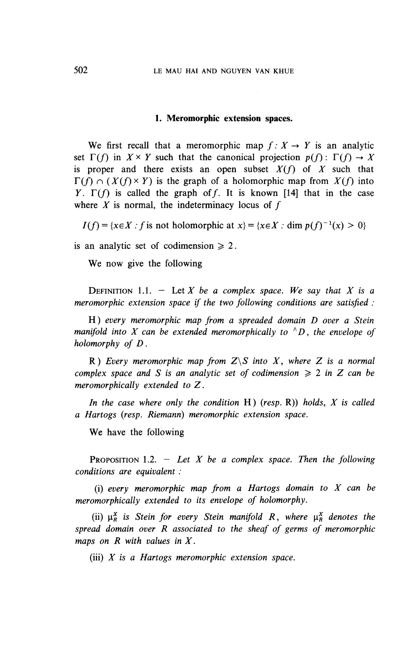#### **1. Meromorphic extension spaces.**

We first recall that a meromorphic map  $f: X \to Y$  is an analytic set  $\Gamma(f)$  in  $X \times Y$  such that the canonical projection  $p(f): \Gamma(f) \to X$ is proper and there exists an open subset *X(f)* of *X* such that  $\Gamma(f) \cap (X(f) \times Y)$  is the graph of a holomorphic map from  $X(f)$  into *Y*.  $\Gamma(f)$  is called the graph of f. It is known [14] that in the case where  $X$  is normal, the indeterminacy locus of  $f$ 

 $I(f) = \{x \in X : f \text{ is not holomorphic at } x\} = \{x \in X : \text{dim } p(f)^{-1}(x) > 0\}$ 

is an analytic set of codimension  $\geq 2$ .

We now give the following

DEFINITION 1.1.  $-$  Let X be a complex space. We say that X is a *meromorphic extension space if the* two *following conditions are satisfied :*

**H)** *every meromorphic map from a spreaded domain D over a Stein manifold into X can be extended meromorphically to*  $^{\wedge}D$ , *the envelope of holomorphy of D.*

R) *Every meromorphic map from Z\S into X, where Z is a normal complex space and S is an analytic set of codimension*  $\geq 2$  *in Z can be meromorphically extended to* Z.

*In the case where only the condition* **H)** *(resp.* R)) *holds, X is called a Hartogs (resp. Riemann) meromorphic extension space.*

We have the following

PROPOSITION 1.2. — *Let X be a complex space. Then the following conditions are equivalent :*

(i) *every meromorphic map from a Hartogs domain to X can be meromorphically extended to its envelope of holomorphy.*

(ii)  $\mu^X_R$  is Stein for every Stein manifold R, where  $\mu^X_R$  denotes the *spread domain over R associated to the sheaf of germs of meromorphic maps on R with values in X .*

(iii) *X is a Hartogs meromorphic extension space.*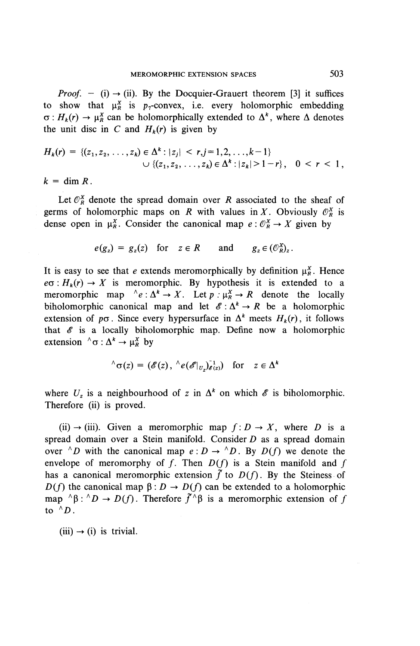*Proof.* - (i)  $\rightarrow$  (ii). By the Docquier-Grauert theorem [3] it suffices to show that  $\mu_R^X$  is  $p_T$ -convex, i.e. every holomorphic embedding  $\sigma: H_k(r) \to \mu_R^X$  can be holomorphically extended to  $\Delta^k$ , where  $\Delta$  denotes the unit disc in C and  $H_k(r)$  is given by

$$
H_k(r) = \{ (z_1, z_2, \ldots, z_k) \in \Delta^k : |z_j| < r, j = 1, 2, \ldots, k-1 \} \\
\cup \{ (z_1, z_2, \ldots, z_k) \in \Delta^k : |z_k| > 1-r \}, \quad 0 < r < 1,
$$

 $k = \dim R$ .

Let  $\mathcal{O}_R^X$  denote the spread domain over *R* associated to the sheaf of germs of holomorphic maps on *R* with values in *X*. Obviously  $\mathcal{O}_R^X$  is dense open in  $\mu_R^X$ . Consider the canonical map  $e: \mathcal{O}_R^X \to X$  given by

$$
e(g_z) = g_z(z)
$$
 for  $z \in R$  and  $g_z \in (\mathcal{O}_{R}^X)_z$ .

It is easy to see that *e* extends meromorphically by definition  $\mu_R^X$ . Hence  $e\sigma: H_k(r) \to X$  is meromorphic. By hypothesis it is extended to a meromorphic map  $\Delta e: \Delta^k \to X$ . Let  $p: \mu_R^X \to R$  denote the locally biholomorphic canonical map and let  $\mathscr{E}: \Delta^k \to R$  be a holomorphic extension of  $p\sigma$ . Since every hypersurface in  $\Delta^k$  meets  $H_k(r)$ , it follows that *€* is a locally biholomorphic map. Define now a holomorphic extension  $\Delta^k \to \mu_R^X$  by

$$
\wedge_{\sigma(z)} = (\mathscr{E}(z), \wedge e(\mathscr{E}|_{U_z})_{\mathscr{E}(z)}^{-1}) \text{ for } z \in \Delta^k
$$

where  $U_z$  is a neighbourhood of z in  $\Delta^k$  on which  $\mathscr E$  is biholomorphic. Therefore (ii) is proved.

(ii)  $\rightarrow$  (iii). Given a meromorphic map  $f: D \rightarrow X$ , where D is a spread domain over a Stein manifold. Consider  $D$  as a spread domain over <sup> $\wedge$ </sup>D with the canonical map  $e : D \to \wedge^{\wedge} D$ . By  $D(f)$  we denote the envelope of meromorphy of  $f$ . Then  $D(f)$  is a Stein manifold and  $f$ has a canonical meromorphic extension  $\tilde{f}$  to  $D(f)$ . By the Steiness of  $D(f)$  the canonical map  $\beta: D \to D(f)$  can be extended to a holomorphic map  $^{\wedge}\beta$ :  $^{\wedge}D \rightarrow D(f)$ . Therefore  $\tilde{f}^{\wedge}\beta$  is a meromorphic extension of f to  $^{\wedge}D$  *.* 

 $(iii) \rightarrow (i)$  is trivial.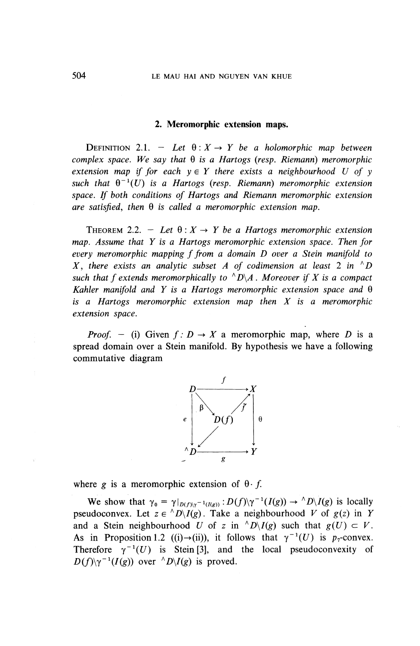### **2. Meromorphic extension maps.**

DEFINITION 2.1. - Let  $\theta: X \to Y$  be a holomorphic map between  $complex space.$  We say that  $\theta$  is a Hartogs (resp. Riemann) meromorphic *extension map if for each*  $y \in Y$  *there exists a neighbourhood U of y such that*  $\theta^{-1}(U)$  *is a Hartogs (resp. Riemann) meromorphic extension space. If both conditions of Hartogs and Riemann meromorphic extension are satisfied, then* 9 *is called a meromorphic extension map.*

THEOREM 2.2. - Let  $\theta: X \to Y$  be a Hartogs meromorphic extension *map. Assume that Y is a Hartogs meromorphic extension space. Then for every meromorphic mapping f from a domain D over a Stein manifold to X, there exists an analytic subset A of codimension at least 2 in*  $\Delta$  *N such that f extends meromorphically to*  $\Delta D\lambda$ *. Moreover if X is a compact Kahler manifold and Y is a Hartogs meromorphic extension space and* 9 is *a Hartogs meromorphic extension map then X is a meromorphic extension space.*

*Proof.* – (i) Given  $f: D \to X$  a meromorphic map, where D is a spread domain over a Stein manifold. By hypothesis we have a following commutative diagram



where g is a meromorphic extension of  $\theta$  f.

We show that  $\gamma_0 = \gamma|_{D(f)|\gamma^{-1}(I(g))} : D(f)|\gamma^{-1}(I(g)) \to \langle D \rangle I(g)$  is locally pseudoconvex. Let  $z \in {}^{\wedge}D \backslash I(g)$ . Take a neighbourhood V of  $g(z)$  in Y and a Stein neighbourhood U of z in  $^{\wedge}D\backslash I(g)$  such that  $g(U) \subset V$ . As in Proposition 1.2 ((i) $\rightarrow$ (ii)), it follows that  $\gamma^{-1}(U)$  is  $p_{\gamma}$ -convex. Therefore  $\gamma^{-1}(U)$  is Stein [3], and the local pseudoconvexity of  $D(f)\gamma^{-1}(I(g))$  over  $\wedge^{\wedge}D\backslash I(g)$  is proved.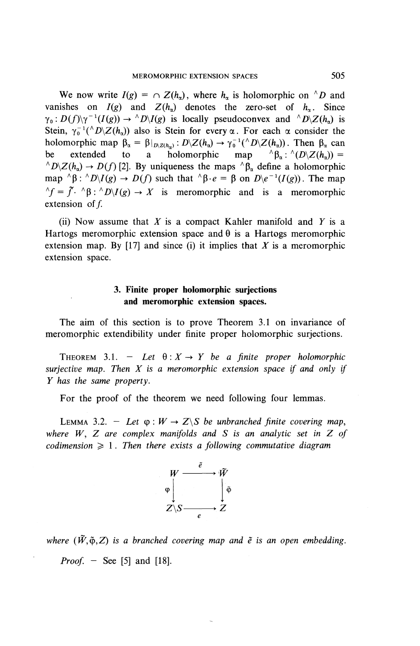We now write  $I(g) = \bigcap Z(h_n)$ , where h<sub>n</sub> is holomorphic on <sup> $\wedge$ </sup>D and vanishes on  $I(g)$  and  $Z(h_n)$  denotes the zero-set of  $h_n$ . Since  $\gamma_0: D(f)\setminus \gamma^{-1}(I(g)) \to {}^{\wedge}D\setminus I(g)$  is locally pseudoconvex and  ${}^{\wedge}D\setminus Z(h_\alpha)$  is Stein,  $\gamma_0^{-1}(\Delta D \times Z(h_\alpha))$  also is Stein for every  $\alpha$ . For each  $\alpha$  consider the holomorphic map  $\beta_{\alpha} = \beta|_{D_1 \times (h_{\alpha})} : D_1 \times (h_{\alpha}) \to \gamma_0^{-1} (N_1 \times (h_{\alpha}))$ . Then  $\beta_{\alpha}$  can<br>be extended to a holomorphic map  $\beta_{\alpha} : \Lambda(D_1 \times (h_{\alpha})) =$ be extended to a holomorphic map  $^{\wedge} \beta_{\alpha}: ^{\wedge} (D \backslash Z(h_{\alpha})) =$ <br> $^{\wedge} D \backslash Z(h_{\alpha}) \rightarrow D(f)$  [2]. By uniqueness the maps  $^{\wedge} \beta_{\alpha}$  define a holomorphic map  $^{\wedge}\beta$ :  $^{\wedge}D\backslash I(g) \rightarrow D(f)$  such that  $^{\wedge}\beta \cdot e = \beta$  on  $D\backslash e^{-1}(I(g))$ . The map  $\Delta f = \tilde{f} \cdot \Delta \beta : \Delta D \setminus I(g) \rightarrow X$  is meromorphic and is a meromorphic extension of  $f$ .

(ii) Now assume that *X* is a compact Kahler manifold and *Y* is a Hartogs meromorphic extension space and  $\theta$  is a Hartogs meromorphic extension map. **By** [17] and since (i) it implies that *X* is a meromorphic extension space.

## **3. Finite proper holomorphic surjections and meromorphic extension spaces.**

The aim of this section is to prove Theorem 3.1 on invariance of meromorphic extendibility under finite proper holomorphic surjections.

THEOREM 3.1. - Let  $\theta: X \to Y$  be a finite proper holomorphic *surjective map. Then X is a meromorphic extension space if and only if Y has the same property.*

For the proof of the theorem we need following four lemmas.

LEMMA 3.2. – Let  $\varphi: W \to Z \backslash S$  be unbranched finite covering map, *where W, Z are complex manifolds and S is an analytic set in Z of codimension*  $\geq 1$ . Then there exists a following commutative diagram



where  $(\tilde{W}, \tilde{\varphi}, Z)$  is a branched covering map and  $\tilde{e}$  is an open embedding.

*Proof. -* See [5] and [18].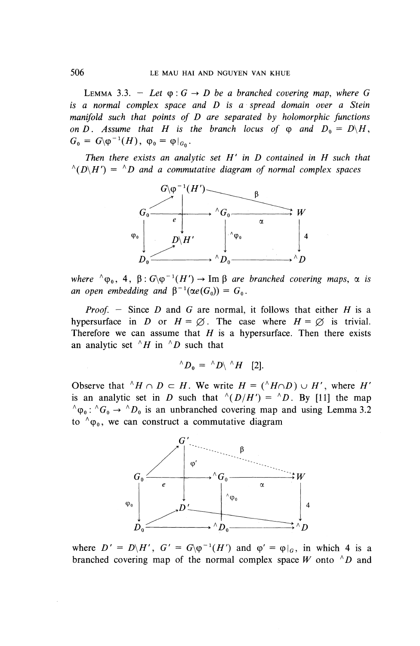LEMMA 3.3. - Let  $\varphi$ :  $G \rightarrow D$  be a branched covering map, where G *is a normal complex space and D is a spread domain over a Stein manifold such that points of D are separated by holomorphic functions on D.* Assume that H is the branch locus of  $\varphi$  and  $D_0 = D\backslash H$ ,  $G_0 = G \langle \varphi^{-1}(H), \varphi_0 = \varphi|_{G_0}.$ 

*Then there exists an analytic set H ' in D contained in H such that*  $^{\wedge}(D\backslash H') = ^{\wedge}D$  and a commutative diagram of normal complex spaces



*where*  $^{\wedge} \varphi_0$ , 4,  $\beta$ :  $G\varphi^{-1}(H') \rightarrow \text{Im } \beta$  are branched covering maps,  $\alpha$  is *an open embedding and*  $\beta^{-1}(\alpha e(G_0)) = G_0$ .

*Proof. —* Since *D* and *G* are normal, it follows that either *H* is a hypersurface in *D* or  $H = \emptyset$ . The case where  $H = \emptyset$  is trivial. Therefore we can assume that *H* is a hypersurface. Then there exists an analytic set  $\Lambda H$  in  $\Lambda D$  such that

$$
^{\wedge}D_0 = \ ^{\wedge}D \backslash \ ^{\wedge}H \quad [2].
$$

Observe that  $^{\wedge}H \cap D \subset H$ . We write  $H = (\wedge H \cap D) \cup H'$ , where  $H'$ is an analytic set in *D* such that  $^{(n)}(D/H') = ^{n}D$ . By [11] the map  $^{\wedge} \varphi_0$ :  $^{\wedge} G_0 \rightarrow ^{\wedge} D_0$  is an unbranched covering map and using Lemma 3.2 to  $\gamma_{\varphi_0}$ , we can construct a commutative diagram



where  $D' = D\backslash H'$ ,  $G' = G\backslash \varphi^{-1}(H')$  and  $\varphi' = \varphi|_G$ , in which 4 is a branched covering map of the normal complex space *W* onto  $\wedge D$  and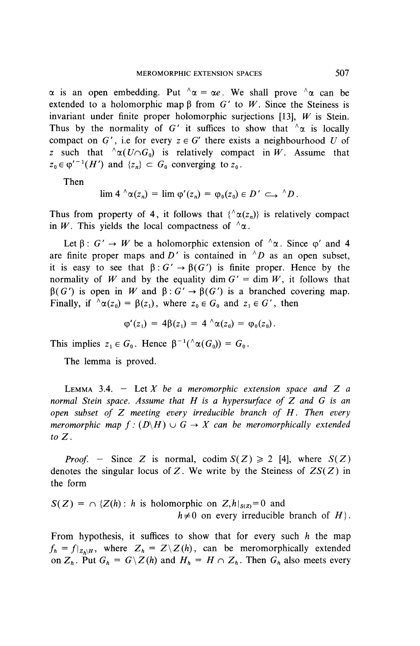$\alpha$  is an open embedding. Put  $\alpha = \alpha e$ . We shall prove  $\alpha$  can be extended to a holomorphic map  $\beta$  from  $G'$  to W. Since the Steiness is invariant under finite proper holomorphic surjections [13], *W* is Stein. Thus by the normality of G' it suffices to show that  $\alpha$  is locally compact on G', i.e for every  $z \in G'$  there exists a neighbourhood U of *z* such that  ${}^{\wedge} \alpha(U \cap G_0)$  is relatively compact in W. Assume that  $z_0 \in \varphi'^{-1}(H')$  and  $\{z_n\} \subset G_0$  converging to  $z_0$ .

**Then**

$$
\lim 4 \wedge \alpha(z_n) = \lim \varphi'(z_n) = \varphi_0(z_0) \in D' \hookrightarrow \wedge D.
$$

Thus from property of 4, it follows that  $\{\alpha(z_n)\}\$ is relatively compact in W. This yields the local compactness of  $\Delta \alpha$ .

Let  $\beta$ :  $G' \rightarrow W$  be a holomorphic extension of  $\alpha$ . Since  $\varphi'$  and 4 are finite proper maps and D' is contained in  $^{\wedge}D$  as an open subset, it is easy to see that  $\beta: G' \to \beta(G')$  is finite proper. Hence by the normality of W and by the equality dim  $G' = \dim W$ , it follows that  $\beta(G')$  is open in W and  $\beta: G' \to \beta(G')$  is a branched covering map. Finally, if  $\Delta \alpha(z_0) = \beta(z_1)$ , where  $z_0 \in G_0$  and  $z_1 \in G'$ , then

$$
\varphi'(z_1) = 4\beta(z_1) = 4 \wedge \alpha(z_0) = \varphi_0(z_0).
$$

This implies  $z_1 \in G_0$ . Hence  $\beta^{-1}(\Lambda \alpha(G_0)) = G_0$ .

The lemma is proved.

LEMMA 3.4. — Let *X be a meromorphic extension space and Z a normal Stein space. Assume that H is a hypersurface of Z and G is an open subset of Z meeting every irreducible branch of H . Then every meromorphic map f :*  $(D\backslash H) \cup G \rightarrow X$  can be meromorphically extended *to Z .*

*Proof.* - Since Z is normal, codim  $S(Z) \ge 2$  [4], where  $S(Z)$ denotes the singular locus of Z. We write by the Steiness of  $ZS(Z)$  in the form

 $S(Z) = \bigcap \{Z(h): h \text{ is holomorphic on } Z, h|_{S(Z)} = 0 \text{ and }$  $h \neq 0$  on every irreducible branch of  $H$ .

From hypothesis, it suffices to show that for every such *h* the map  $f_h = f|_{Z_h \setminus H}$ , where  $Z_h = Z\setminus Z(h)$ , can be meromorphically extended on  $Z_h$ . Put  $G_h = G\backslash Z(h)$  and  $H_h = H \cap Z_h$ . Then  $G_h$  also meets every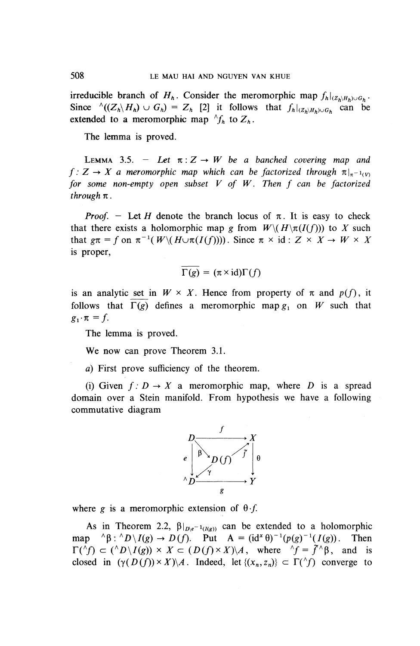irreducible branch of  $H_h$ . Consider the meromorphic map  $f_h|_{(Z_h \setminus H_h) \cup G_h}$ . Since  $\wedge ((Z_h \backslash H_h) \cup G_h) = Z_h$  [2] it follows that  $f_h|_{(Z_h \backslash H_h) \cup G_h}$  can be extended to a meromorphic map  $\wedge f_h$  to  $Z_h$ .

The lemma is proved.

LEMMA 3.5. – Let  $\pi: Z \to W$  be a banched covering map and  $f: Z \to X$  a meromorphic map which can be factorized through  $\pi|_{\pi^{-1}(V)}$  for some non-empty open subset V of W. Then f can be factorized *through*  $\pi$ .

*Proof.* – Let *H* denote the branch locus of  $\pi$ . It is easy to check that there exists a holomorphic map g from  $W \setminus (H \setminus \pi(I(f)))$  to X such that  $g\pi = f$  on  $\pi^{-1}(W\setminus (H\cup \pi(I(f))))$ . Since  $\pi \times id: Z \times X \rightarrow W \times X$ is proper,

$$
\Gamma(g) = (\pi \times \mathrm{id})\Gamma(f)
$$

is an analytic set in  $W \times X$ . Hence from property of  $\pi$  and  $p(f)$ , it follows that  $\Gamma(g)$  defines a meromorphic map  $g_1$  on W such that  $g_i \cdot \pi = f$ .

The lemma is proved.

We now can prove Theorem 3.1.

*a)* First prove sufficiency of the theorem.

(i) Given  $f: D \to X$  a meromorphic map, where D is a spread domain over a Stein manifold. From hypothesis we have a following commutative diagram



where g is a meromorphic extension of  $\theta$ .f.

As in Theorem 2.2,  $\beta|_{D\setminus e^{-1}(I(\epsilon))}$  can be extended to a holomorphic map  ${}^{\wedge}\beta$ :  ${}^{\wedge}D\backslash I(g) \rightarrow D(f)$ . Put  $A = (id^x \theta)^{-1}(p(g)^{-1}(I(g))$ . Then  $\Gamma({}^{\wedge}f) \subset ({}^{\wedge}D \setminus I(g)) \times X \subset (D(f) \times X) \setminus A$ , where  ${}^{\wedge}f = \tilde{f} \setminus \beta$ , and is closed in  $(\gamma(D(f)) \times X) \setminus A$ . Indeed, let  $\{(x_n, z_n)\}\subset \Gamma(\uparrow f)$  converge to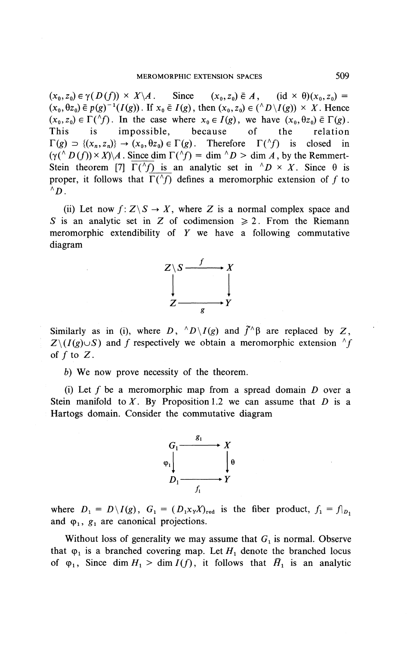$(x_0, z_0) \in \gamma(D(f)) \times X \backslash A$ . Since  $(x_0, z_0) \in A$ ,  $(id \times \theta)(x_0, z_0) =$  $(x_0, \theta z_0) \in p(g)^{-1}(I(g))$ . If  $x_0 \in I(g)$ , then  $(x_0, z_0) \in (^{\wedge}D \setminus I(g)) \times X$ . Hence  $(x_0, z_0) \in \Gamma({}^{\wedge} f)$ . In the case where  $x_0 \in I(g)$ , we have  $(x_0, \theta z_0) \in \Gamma(g)$ . This is impossible, because of the relation  $\Gamma(g) \supset \{(x_n,z_n)\} \to (x_0,\theta z_0) \in \Gamma(g)$ . Therefore  $\Gamma({}^{\wedge}f)$  is closed in  $(\gamma({}^{\wedge} D(f)) \times X)\rightarrow (x_0, \sigma z_0) \in I(g)$ . Interest  $I(\gamma)$  is closed in  $(\gamma({}^{\wedge} D(f)) \times X)\rightarrow A$ . Since dim  $\Gamma({}^{\wedge} f) = \dim {\uparrow} D > \dim A$ , by the Remmert-Stein theorem [7]  $\Gamma(\uparrow f)$  is an analytic set in  $\uparrow D \times X$ . Since  $\theta$  is proper, it follows that  $\Gamma(\Lambda f)$  defines a meromorphic extension of f to  $\bigwedge^{\mu \sim \mu}$ 

(ii) Let now  $f:Z\backslash S\to X$ , where Z is a normal complex space and *S* is an analytic set in Z of codimension  $\geq 2$ . From the Riemann meromorphic extendibility of *Y* we have a following commutative diagram



Similarly as in (i), where D,  $^{\wedge}D\setminus I(g)$  and  $\tilde{f}^{\wedge}\beta$  are replaced by Z,  $Z\setminus (I(g)\cup S)$  and f respectively we obtain a meromorphic extension  $\Lambda f$ of  $f$  to  $Z$ .

b) We now prove necessity of the theorem.

(i) Let / be a meromorphic map from a spread domain *D* over a Stein manifold to  $X$ . By Proposition 1.2 we can assume that  $D$  is a Hartogs domain. Consider the commutative diagram



where  $D_1 = D\setminus I(g)$ ,  $G_1 = (D_1x_YX)_{\text{red}}$  is the fiber product,  $f_1 = f|_{D_1}$ and  $\varphi_1$ ,  $g_1$  are canonical projections.

Without loss of generality we may assume that  $G_1$  is normal. Observe that  $\varphi_1$  is a branched covering map. Let  $H_1$  denote the branched locus of  $\varphi_1$ , Since dim  $H_1 > \dim I(f)$ , it follows that  $\overline{H}_1$  is an analytic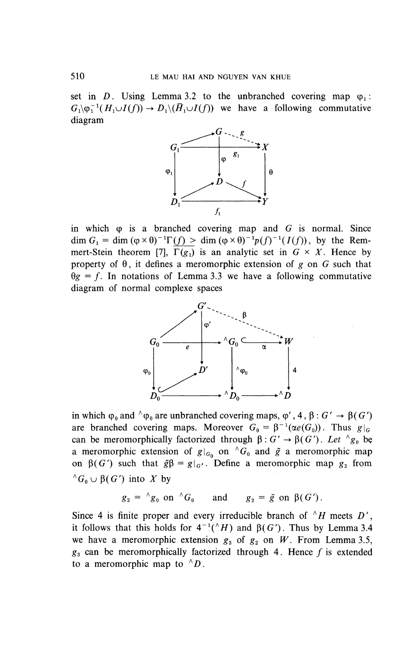set in D. Using Lemma 3.2 to the unbranched covering map  $\varphi_1$ :  $G_1\backslash \varphi_1^{-1}(H_1\cup I(f)) \to D_1\backslash(\overline{H}_1\cup I(f))$  we have a following commutative diagram



in which (p is a branched covering map and *G* is normal. Since dim  $G_1 = \dim (\varphi \times \theta)^{-1} \Gamma(f) > \dim (\varphi \times \theta)^{-1} p(f)^{-1}(I(f))$ , by the Remmert-Stein theorem [7],  $\Gamma(g_1)$  is an analytic set in  $G \times X$ . Hence by property of  $\theta$ , it defines a meromorphic extension of g on G such that  $\theta$ g = f. In notations of Lemma 3.3 we have a following commutative diagram of normal complexe spaces



in which  $\varphi_0$  and  $\varphi_0$  are unbranched covering maps,  $\varphi'$ , 4,  $\beta : G' \to \beta(G')$ are branched covering maps. Moreover  $G_0 = \beta^{-1}(\alpha e(G_0))$ . Thus  $g|_G$ can be meromorphically factorized through  $\beta: G' \to \beta(G')$ . Let  $\beta_{g}$  be a meromorphic extension of  $g|_{G_0}$  on  $^{\wedge}G_0$  and  $\tilde{g}$  a meromorphic map on  $\beta(G')$  such that  $\tilde{g}\beta = g|_{G'}$ . Define a meromorphic map  $g_2$  from  $^{\wedge}G_0 \cup \beta(G')$  into X by

$$
g_2 = \Delta g_0
$$
 on  $\Delta G_0$  and  $g_2 = \tilde{g}$  on  $\beta(G')$ .

 $g_2 = \gamma g_0$  on  $\gamma G_0$  and  $g_2 = \tilde{g}$  on  $\beta(G')$ .<br>Since 4 is finite proper and every irreducible branch of  $\gamma H$  meets D' it follows that this holds for  $4^{-1}$ ( $^{\wedge}H$ ) and  $\beta$ (G'). Thus by Lemma 3.4 we have a meromorphic extension  $g_3$  of  $g_2$  on W. From Lemma 3.5,  $g_3$  can be meromorphically factorized through 4. Hence  $f$  is extended to a meromorphic map to  $^{\wedge}D$ .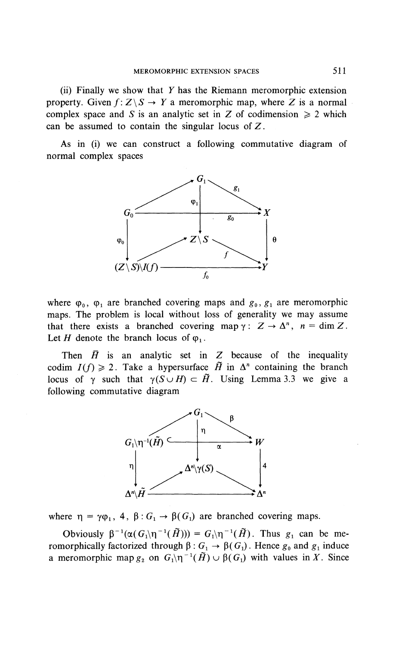(ii) Finally we show that *Y* has the Riemann meromorphic extension property. Given  $f: Z \backslash S \rightarrow Y$  a meromorphic map, where Z is a normal complex space and *S* is an analytic set in *Z* of codimension  $\geq 2$  which can be assumed to contain the singular locus of  $Z$ .

As in (i) we can construct a following commutative diagram of normal complex spaces



where  $\varphi_0$ ,  $\varphi_1$  are branched covering maps and  $g_0$ ,  $g_1$  are meromorphic maps. The problem is local without loss of generality we may assume that there exists a branched covering map  $\gamma: Z \to \Delta^n$ ,  $n = \dim Z$ . Let H denote the branch locus of  $\varphi_1$ .

Then  $\bar{H}$  is an analytic set in Z because of the inequality codim  $I(f) \geq 2$ . Take a hypersurface  $\tilde{H}$  in  $\Delta^n$  containing the branch locus of  $\gamma$  such that  $\gamma(S \cup H) \subset \tilde{H}$ . Using Lemma 3.3 we give a following commutative diagram



where  $\eta = \gamma \varphi_1$ , 4,  $\beta : G_1 \to \beta(G_1)$  are branched covering maps.

Obviously  $\beta^{-1}(\alpha(G_i)\eta^{-1}(\tilde{H})) = G_i\eta^{-1}(\tilde{H})$ . Thus  $g_i$  can be meromorphically factorized through  $\beta$ :  $G_1 \rightarrow \beta(G_1)$ . Hence  $g_0$  and  $g_1$  induce a meromorphic map  $g_2$  on  $G_1 \nvert \nvert \nvert (H) \nvert \nvert \nvert G_1$ ) with values in X. Since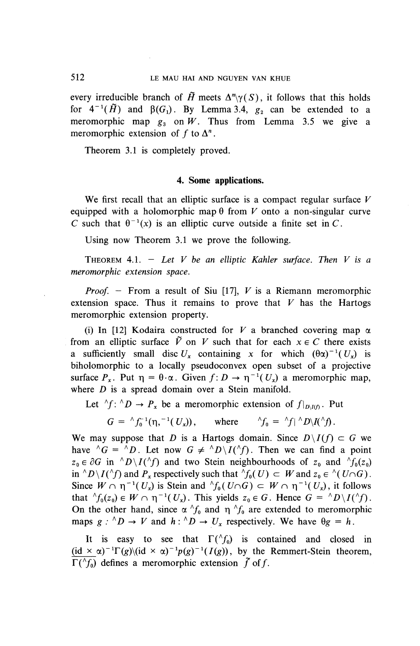every irreducible branch of  $\tilde{H}$  meets  $\Delta^n \gamma(S)$ , it follows that this holds for  $4^{-1}(\tilde{H})$  and  $\beta(G_1)$ . By Lemma 3.4,  $g_2$  can be extended to a meromorphic map  $g_3$  on W. Thus from Lemma 3.5 we give a meromorphic extension of f to  $\Delta^n$ .

Theorem 3.1 is completely proved.

#### **4. Some applications.**

We first recall that an elliptic surface is a compact regular surface *V* equipped with a holomorphic map  $\theta$  from *V* onto a non-singular curve C such that  $\theta^{-1}(x)$  is an elliptic curve outside a finite set in C.

Using now Theorem 3.1 we prove the following.

THEOREM 4.1.  $-$  Let V be an elliptic Kahler surface. Then V is a *meromorphic extension space.*

*Proof. -* From a result of Siu [17], *V* is a Riemann meromorphic extension space. Thus it remains to prove that *V* has the Hartogs meromorphic extension property.

(i) In [12] Kodaira constructed for  $V$  a branched covering map  $\alpha$ from an elliptic surface  $\tilde{V}$  on V such that for each  $x \in C$  there exists a sufficiently small disc  $U_x$  containing x for which  $(\theta \alpha)^{-1} (U_x)$  is biholomorphic to a locally pseudoconvex open subset of a projective surface  $P_x$ . Put  $\eta = \theta \cdot \alpha$ . Given  $f: D \to \eta^{-1}(U_x)$  a meromorphic map, where *D* is a spread domain over a Stein manifold.

Let  ${}^{\wedge}f: {}^{\wedge}D \to P_x$  be a meromorphic extension of  $f|_{D\setminus I(f)}$ . Put

*G* =  $^{k}f_{0}^{-1}(\eta, -^{1}(U_{x}))$ , where  $^{k}f_{0} = ^{k}f_{1}^{k}D\setminus I(\Lambda_{f})$ .

We may suppose that *D* is a Hartogs domain. Since  $D\setminus I(f) \subset G$  we have  $^{\wedge}G = ^{\wedge}D$ . Let now  $G \neq ^{\wedge}D\backslash I(^{\wedge}f)$ . Then we can find a point  $z_0 \in \partial G$  in  $\Delta D \setminus I(\Delta f)$  and two Stein neighbourhoods of  $z_0$  and  $\Delta f_0(z_0)$ in  $^{\wedge}D\setminus I({}^{\wedge}f)$  and  $P_x$  respectively such that  $^{\wedge}f_0(U) \subset W$  and  $z_0 \in {}^{\wedge} (U\cap G)$ . Since  $W \cap \eta^{-1}(U_x)$  is Stein and  ${}^{\wedge}f_0(U \cap G) \subset W \cap \eta^{-1}(U_x)$ , it follows that  ${}^{\wedge}f_0(z_0) \in W \cap \eta^{-1}(U_x)$ . This yields  $z_0 \in G$ . Hence  $G = {}^{\wedge}D\backslash I({}^{\wedge}f)$ . On the other hand, since  $\alpha^{\wedge} f_0$  and  $\eta^{\wedge} f_0$  are extended to meromorphic maps  $g : {^{\wedge}D} \to V$  and  $h : {^{\wedge}D} \to U_x$  respectively. We have  $\theta g = h$ .

It is easy to see that  $\Gamma(\uparrow f_0)$  is contained and closed in (id  $\times \alpha$ )<sup>-1</sup> $\Gamma(g)$ (id  $\times \alpha$ )<sup>-1</sup> $p(g)$ -<sup>1</sup>( $g$ )), by the Remmert-Stein theorem  $\Gamma({}^{\wedge}f_0)$  defines a meromorphic extension  $\tilde{f}$  of f.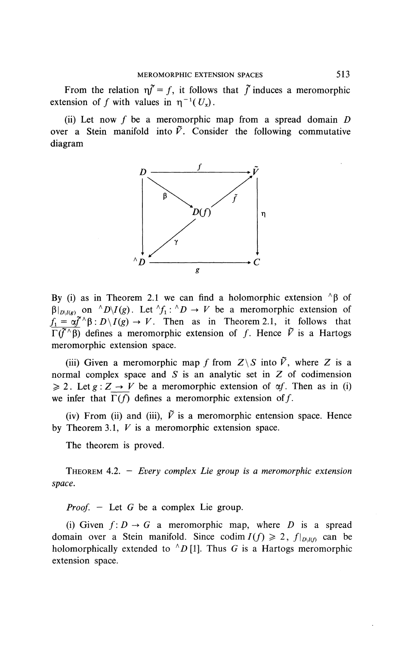From the relation  $\eta \tilde{f} = f$ , it follows that  $\tilde{f}$  induces a meromorphic extension of f with values in  $\eta^{-1}(U_r)$ .

(ii) Let now / be a meromorphic map from a spread domain*<sup>D</sup>* over a Stein manifold into  $\tilde{V}$ . Consider the following commutative diagram



By (i) as in Theorem 2.1 we can find a holomorphic extension  $\beta$  of  $\beta|_{D\setminus I(g)}$  on  $\wedge^{\wedge}D\setminus I(g)$ . Let  $\wedge^{\wedge}f_1: \wedge^{\wedge}D \to V$  be a meromorphic extension of  $f_1 = \alpha \tilde{f}^{\wedge}\beta : D\backslash I(g) \to V$ . Then as in Theorem 2.1, it follows that  $\Gamma(\tilde{f}^{\wedge}\beta)$  defines a meromorphic extension of f. Hence  $\tilde{V}$  is a Hartogs meromorphic extension space.

(iii) Given a meromorphic map f from  $Z \setminus S$  into  $\tilde{V}$ , where Z is a normal complex space and  $S$  is an analytic set in  $Z$  of codimension  $\geq 2$ . Let  $g : Z \to V$  be a meromorphic extension of  $\alpha f$ . Then as in (i) we infer that  $\Gamma(f)$  defines a meromorphic extension of f.

(iv) From (ii) and (iii),  $\tilde{V}$  is a meromorphic entension space. Hence by Theorem 3.1, *V* is a meromorphic extension space.

The theorem is proved.

THEOREM 4.2. — *Every complex Lie group is a meromorphic extension space.*

*Proof.* — Let G be a complex Lie group.

(i) Given  $f: D \to G$  a meromorphic map, where D is a spread domain over a Stein manifold. Since codim  $I(f) \geq 2$ ,  $f|_{D\setminus I(f)}$  can be holomorphically extended to  $\Delta D$  [1]. Thus G is a Hartogs meromorphic extension space.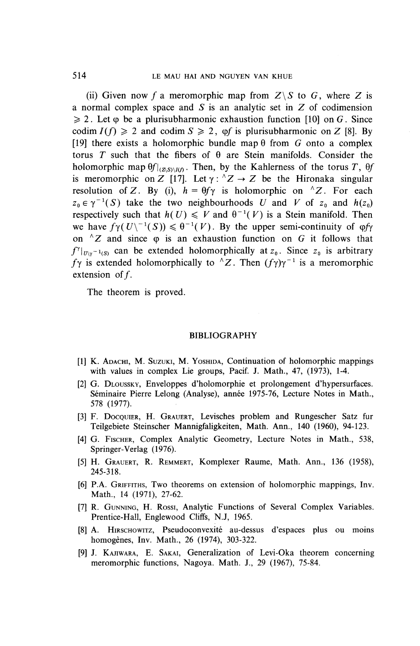(ii) Given now f a meromorphic map from  $Z\setminus S$  to G, where Z is a normal complex space and *S* is an analytic set in Z of codimension  $\geq 2$ . Let  $\varphi$  be a plurisubharmonic exhaustion function [10] on *G*. Since codim  $I(f) \geq 2$  and codim  $S \geq 2$ , of is plurisubharmonic on Z [8]. By [19] there exists a holomorphic bundle map  $\theta$  from  $G$  onto a complex torus T such that the fibers of  $\theta$  are Stein manifolds. Consider the holomorphic map  $\theta f|_{(Z\vert S)/I(0)}$ . Then, by the Kahlerness of the torus T,  $\theta f$ is meromorphic on Z [17]. Let  $\gamma: {}^{\wedge}Z \rightarrow Z$  be the Hironaka singular resolution of Z. By (i),  $h = \theta f \gamma$  is holomorphic on <sup>^</sup>Z. For each  $z_0 \in \gamma^{-1}(S)$  take the two neighbourhoods U and V of  $z_0$  and  $h(z_0)$ respectively such that  $h(U) \leq V$  and  $\theta^{-1}(V)$  is a Stein manifold. Then we have  $f\gamma(U^{-1}(S)) \leq \theta^{-1}(V)$ . By the upper semi-continuity of  $\varphi f\gamma$ on  $\Delta Z$  and since  $\varphi$  is an exhaustion function on G it follows that  $f^{\gamma}|_{U\setminus \gamma^{-1}(S)}$  can be extended holomorphically at  $z_0$ . Since  $z_0$  is arbitrary  $f\gamma$  is extended holomorphically to  $^{1/2}Z$ . Then  $(f\gamma)\gamma^{-1}$  is a meromorphic extension of  $f$ .

The theorem is proved.

#### BIBLIOGRAPHY

- [1] K. ADACHI, M. SUZUKI, M. YOSHIDA, Continuation of holomorphic mappings with values in complex Lie groups, Pacif. J. Math., 47, (1973), 1-4.
- [2] G. DLOUSSKY, Enveloppes d'holomorphie et prolongement d'hypersurfaces. Seminaire Pierre Leiong (Analyse), annee 1975-76, Lecture Notes in Math., 578 (1977).
- [3] F. DOCQUIER, H. GRAUERT, Levisches problem and Rungescher Satz fur Teilgebiete Steinscher Mannigfaligkeiten, Math. Ann., 140 (1960), 94-123.
- [4] G. FISCHER, Complex Analytic Geometry, Lecture Notes in Math., 538, Springer-Verlag (1976).
- [5] H. GRAUERT, R. REMMERT, Komplexer Raume, Math. Ann., 136 (1958), 245-318.
- [6] P.A. GRIFFITHS, Two theorems on extension of holomorphic mappings, Inv. Math., 14 (1971), 27-62.
- [7] R. GUNNING, H. Rossi, Analytic Functions of Several Complex Variables. Prentice-Hall, Englewood Cliffs, N.J, 1965.
- [8] A. HIRSCHOWITZ, Pseudoconvexite au-dessus d'espaces plus ou moins homogènes, Inv. Math., 26 (1974), 303-322.
- [9] J. KAJIWARA, E. SAKAI, Generalization of Levi-Oka theorem concerning meromorphic functions, Nagoya. Math. **J.,** 29 (1967), 75-84.